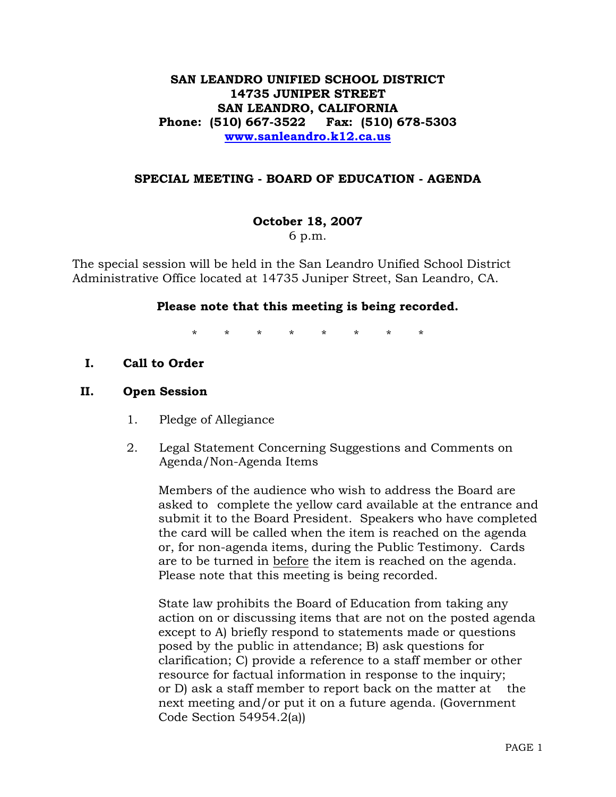# **SAN LEANDRO UNIFIED SCHOOL DISTRICT 14735 JUNIPER STREET SAN LEANDRO, CALIFORNIA Phone: (510) 667-3522 Fax: (510) 678-5303 www.sanleandro.k12.ca.us**

## **SPECIAL MEETING - BOARD OF EDUCATION - AGENDA**

## **October 18, 2007**

6 p.m.

The special session will be held in the San Leandro Unified School District Administrative Office located at 14735 Juniper Street, San Leandro, CA.

## **Please note that this meeting is being recorded.**

\* \* \* \* \* \* \* \*

**I. Call to Order** 

## **II. Open Session**

- 1. Pledge of Allegiance
- 2. Legal Statement Concerning Suggestions and Comments on Agenda/Non-Agenda Items

 Members of the audience who wish to address the Board are asked to complete the yellow card available at the entrance and submit it to the Board President. Speakers who have completed the card will be called when the item is reached on the agenda or, for non-agenda items, during the Public Testimony. Cards are to be turned in before the item is reached on the agenda. Please note that this meeting is being recorded.

 State law prohibits the Board of Education from taking any action on or discussing items that are not on the posted agenda except to A) briefly respond to statements made or questions posed by the public in attendance; B) ask questions for clarification; C) provide a reference to a staff member or other resource for factual information in response to the inquiry; or D) ask a staff member to report back on the matter at the next meeting and/or put it on a future agenda. (Government Code Section 54954.2(a))